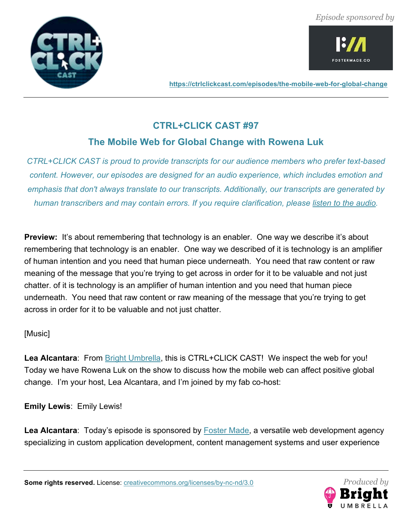*Episode sponsored by*





**https://ctrlclickcast.com/episodes/the-mobile-web-for-global-change**

# **CTRL+CLICK CAST #97**

# **The Mobile Web for Global Change with Rowena Luk**

*CTRL+CLICK CAST is proud to provide transcripts for our audience members who prefer text-based content. However, our episodes are designed for an audio experience, which includes emotion and emphasis that don't always translate to our transcripts. Additionally, our transcripts are generated by human transcribers and may contain errors. If you require clarification, please listen to the audio.*

**Preview:** It's about remembering that technology is an enabler. One way we describe it's about remembering that technology is an enabler. One way we described of it is technology is an amplifier of human intention and you need that human piece underneath. You need that raw content or raw meaning of the message that you're trying to get across in order for it to be valuable and not just chatter. of it is technology is an amplifier of human intention and you need that human piece underneath. You need that raw content or raw meaning of the message that you're trying to get across in order for it to be valuable and not just chatter.

# [Music]

Lea Alcantara: From Bright Umbrella, this is CTRL+CLICK CAST! We inspect the web for you! Today we have Rowena Luk on the show to discuss how the mobile web can affect positive global change. I'm your host, Lea Alcantara, and I'm joined by my fab co-host:

**Emily Lewis**: Emily Lewis!

Lea Alcantara: Today's episode is sponsored by **Foster Made**, a versatile web development agency specializing in custom application development, content management systems and user experience

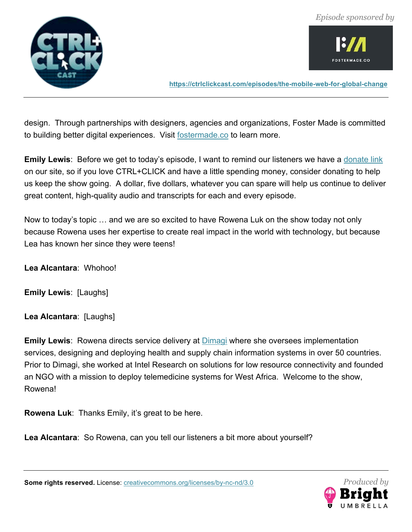



design. Through partnerships with designers, agencies and organizations, Foster Made is committed to building better digital experiences. Visit fostermade.co to learn more.

**Emily Lewis**: Before we get to today's episode, I want to remind our listeners we have a donate link on our site, so if you love CTRL+CLICK and have a little spending money, consider donating to help us keep the show going. A dollar, five dollars, whatever you can spare will help us continue to deliver great content, high-quality audio and transcripts for each and every episode.

Now to today's topic … and we are so excited to have Rowena Luk on the show today not only because Rowena uses her expertise to create real impact in the world with technology, but because Lea has known her since they were teens!

**Lea Alcantara**: Whohoo!

**Emily Lewis**: [Laughs]

**Lea Alcantara**: [Laughs]

**Emily Lewis**: Rowena directs service delivery at **Dimagi** where she oversees implementation services, designing and deploying health and supply chain information systems in over 50 countries. Prior to Dimagi, she worked at Intel Research on solutions for low resource connectivity and founded an NGO with a mission to deploy telemedicine systems for West Africa. Welcome to the show, Rowena!

**Rowena Luk**: Thanks Emily, it's great to be here.

**Lea Alcantara**: So Rowena, can you tell our listeners a bit more about yourself?

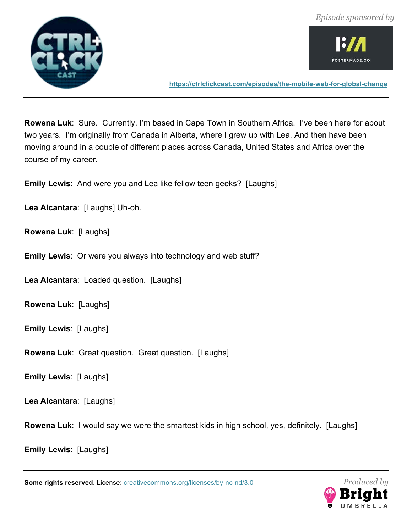



**Rowena Luk**: Sure. Currently, I'm based in Cape Town in Southern Africa. I've been here for about two years. I'm originally from Canada in Alberta, where I grew up with Lea. And then have been moving around in a couple of different places across Canada, United States and Africa over the course of my career.

**Emily Lewis**: And were you and Lea like fellow teen geeks? [Laughs]

**Lea Alcantara**: [Laughs] Uh-oh.

**Rowena Luk**: [Laughs]

**Emily Lewis**: Or were you always into technology and web stuff?

**Lea Alcantara**: Loaded question. [Laughs]

**Rowena Luk**: [Laughs]

**Emily Lewis**: [Laughs]

**Rowena Luk**: Great question. Great question. [Laughs]

**Emily Lewis**: [Laughs]

**Lea Alcantara**: [Laughs]

**Rowena Luk**: I would say we were the smartest kids in high school, yes, definitely. [Laughs]

**Emily Lewis**: [Laughs]

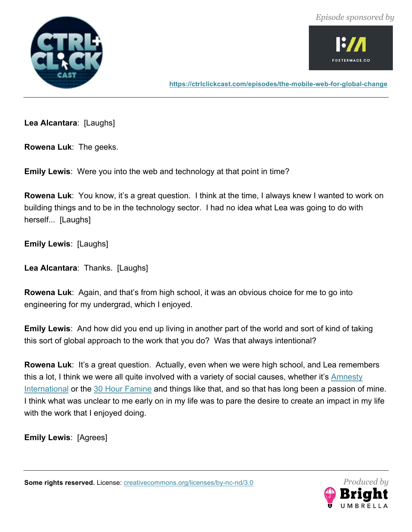



**Lea Alcantara**: [Laughs]

**Rowena Luk**: The geeks.

**Emily Lewis**: Were you into the web and technology at that point in time?

**Rowena Luk**: You know, it's a great question. I think at the time, I always knew I wanted to work on building things and to be in the technology sector. I had no idea what Lea was going to do with herself... [Laughs]

**Emily Lewis**: [Laughs]

**Lea Alcantara**: Thanks. [Laughs]

**Rowena Luk**: Again, and that's from high school, it was an obvious choice for me to go into engineering for my undergrad, which I enjoyed.

**Emily Lewis**: And how did you end up living in another part of the world and sort of kind of taking this sort of global approach to the work that you do? Was that always intentional?

**Rowena Luk**: It's a great question. Actually, even when we were high school, and Lea remembers this a lot, I think we were all quite involved with a variety of social causes, whether it's Amnesty International or the 30 Hour Famine and things like that, and so that has long been a passion of mine. I think what was unclear to me early on in my life was to pare the desire to create an impact in my life with the work that I enjoyed doing.

**Emily Lewis**: [Agrees]

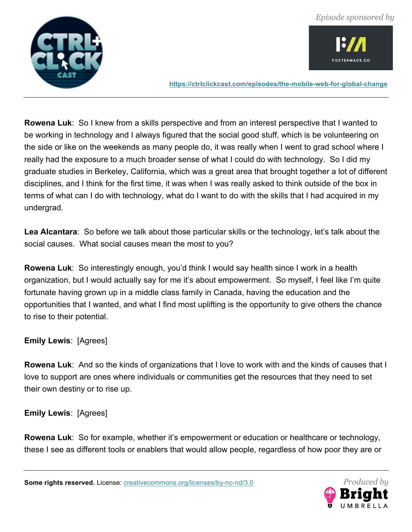



**Rowena Luk**: So I knew from a skills perspective and from an interest perspective that I wanted to be working in technology and I always figured that the social good stuff, which is be volunteering on the side or like on the weekends as many people do, it was really when I went to grad school where I really had the exposure to a much broader sense of what I could do with technology. So I did my graduate studies in Berkeley, California, which was a great area that brought together a lot of different disciplines, and I think for the first time, it was when I was really asked to think outside of the box in terms of what can I do with technology, what do I want to do with the skills that I had acquired in my undergrad.

**Lea Alcantara**: So before we talk about those particular skills or the technology, let's talk about the social causes. What social causes mean the most to you?

**Rowena Luk**: So interestingly enough, you'd think I would say health since I work in a health organization, but I would actually say for me it's about empowerment. So myself, I feel like I'm quite fortunate having grown up in a middle class family in Canada, having the education and the opportunities that I wanted, and what I find most uplifting is the opportunity to give others the chance to rise to their potential.

# **Emily Lewis**: [Agrees]

**Rowena Luk**: And so the kinds of organizations that I love to work with and the kinds of causes that I love to support are ones where individuals or communities get the resources that they need to set their own destiny or to rise up.

**Emily Lewis**: [Agrees]

**Rowena Luk**: So for example, whether it's empowerment or education or healthcare or technology, these I see as different tools or enablers that would allow people, regardless of how poor they are or

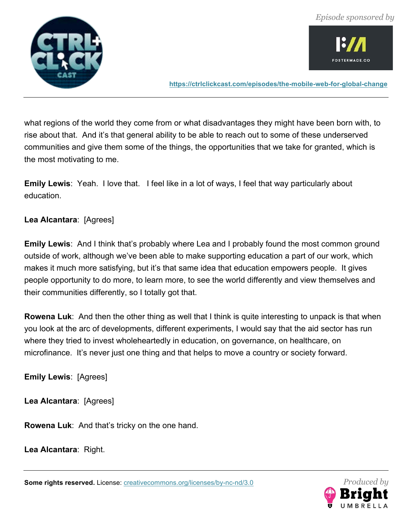

**FOSTERMADE.CO** 

**https://ctrlclickcast.com/episodes/the-mobile-web-for-global-change**

what regions of the world they come from or what disadvantages they might have been born with, to rise about that. And it's that general ability to be able to reach out to some of these underserved communities and give them some of the things, the opportunities that we take for granted, which is the most motivating to me.

**Emily Lewis**: Yeah. I love that. I feel like in a lot of ways, I feel that way particularly about education.

# **Lea Alcantara**: [Agrees]

**Emily Lewis**: And I think that's probably where Lea and I probably found the most common ground outside of work, although we've been able to make supporting education a part of our work, which makes it much more satisfying, but it's that same idea that education empowers people. It gives people opportunity to do more, to learn more, to see the world differently and view themselves and their communities differently, so I totally got that.

**Rowena Luk**: And then the other thing as well that I think is quite interesting to unpack is that when you look at the arc of developments, different experiments, I would say that the aid sector has run where they tried to invest wholeheartedly in education, on governance, on healthcare, on microfinance. It's never just one thing and that helps to move a country or society forward.

**Emily Lewis**: [Agrees]

**Lea Alcantara**: [Agrees]

**Rowena Luk**: And that's tricky on the one hand.

**Lea Alcantara**: Right.

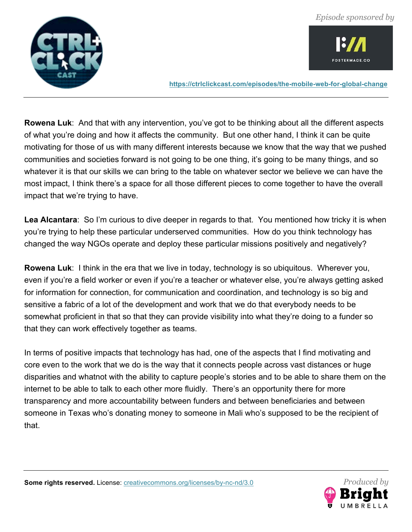

OSTERMADE.CO

**https://ctrlclickcast.com/episodes/the-mobile-web-for-global-change**

**Rowena Luk**: And that with any intervention, you've got to be thinking about all the different aspects of what you're doing and how it affects the community. But one other hand, I think it can be quite motivating for those of us with many different interests because we know that the way that we pushed communities and societies forward is not going to be one thing, it's going to be many things, and so whatever it is that our skills we can bring to the table on whatever sector we believe we can have the most impact, I think there's a space for all those different pieces to come together to have the overall impact that we're trying to have.

**Lea Alcantara**: So I'm curious to dive deeper in regards to that. You mentioned how tricky it is when you're trying to help these particular underserved communities. How do you think technology has changed the way NGOs operate and deploy these particular missions positively and negatively?

**Rowena Luk**: I think in the era that we live in today, technology is so ubiquitous. Wherever you, even if you're a field worker or even if you're a teacher or whatever else, you're always getting asked for information for connection, for communication and coordination, and technology is so big and sensitive a fabric of a lot of the development and work that we do that everybody needs to be somewhat proficient in that so that they can provide visibility into what they're doing to a funder so that they can work effectively together as teams.

In terms of positive impacts that technology has had, one of the aspects that I find motivating and core even to the work that we do is the way that it connects people across vast distances or huge disparities and whatnot with the ability to capture people's stories and to be able to share them on the internet to be able to talk to each other more fluidly. There's an opportunity there for more transparency and more accountability between funders and between beneficiaries and between someone in Texas who's donating money to someone in Mali who's supposed to be the recipient of that.

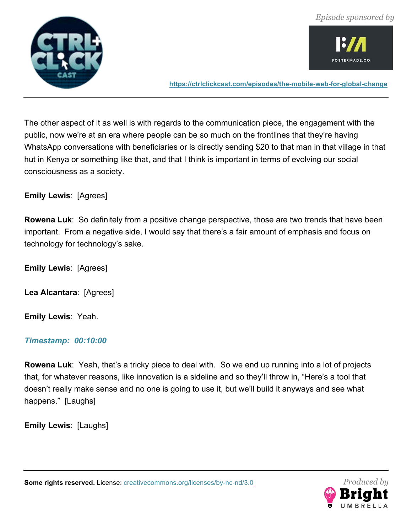



The other aspect of it as well is with regards to the communication piece, the engagement with the public, now we're at an era where people can be so much on the frontlines that they're having WhatsApp conversations with beneficiaries or is directly sending \$20 to that man in that village in that hut in Kenya or something like that, and that I think is important in terms of evolving our social consciousness as a society.

# **Emily Lewis**: [Agrees]

**Rowena Luk**: So definitely from a positive change perspective, those are two trends that have been important. From a negative side, I would say that there's a fair amount of emphasis and focus on technology for technology's sake.

**Emily Lewis**: [Agrees]

**Lea Alcantara**: [Agrees]

**Emily Lewis**: Yeah.

#### *Timestamp: 00:10:00*

**Rowena Luk**: Yeah, that's a tricky piece to deal with. So we end up running into a lot of projects that, for whatever reasons, like innovation is a sideline and so they'll throw in, "Here's a tool that doesn't really make sense and no one is going to use it, but we'll build it anyways and see what happens." [Laughs]

**Emily Lewis**: [Laughs]

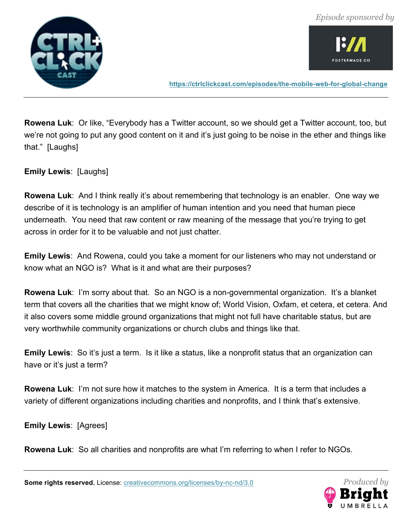

OSTERMADE.CO

**https://ctrlclickcast.com/episodes/the-mobile-web-for-global-change**

**Rowena Luk**: Or like, "Everybody has a Twitter account, so we should get a Twitter account, too, but we're not going to put any good content on it and it's just going to be noise in the ether and things like that." [Laughs]

**Emily Lewis**: [Laughs]

**Rowena Luk**: And I think really it's about remembering that technology is an enabler. One way we describe of it is technology is an amplifier of human intention and you need that human piece underneath. You need that raw content or raw meaning of the message that you're trying to get across in order for it to be valuable and not just chatter.

**Emily Lewis**: And Rowena, could you take a moment for our listeners who may not understand or know what an NGO is? What is it and what are their purposes?

**Rowena Luk**: I'm sorry about that. So an NGO is a non-governmental organization. It's a blanket term that covers all the charities that we might know of; World Vision, Oxfam, et cetera, et cetera. And it also covers some middle ground organizations that might not full have charitable status, but are very worthwhile community organizations or church clubs and things like that.

**Emily Lewis**: So it's just a term. Is it like a status, like a nonprofit status that an organization can have or it's just a term?

**Rowena Luk**: I'm not sure how it matches to the system in America. It is a term that includes a variety of different organizations including charities and nonprofits, and I think that's extensive.

**Emily Lewis**: [Agrees]

**Rowena Luk**: So all charities and nonprofits are what I'm referring to when I refer to NGOs.

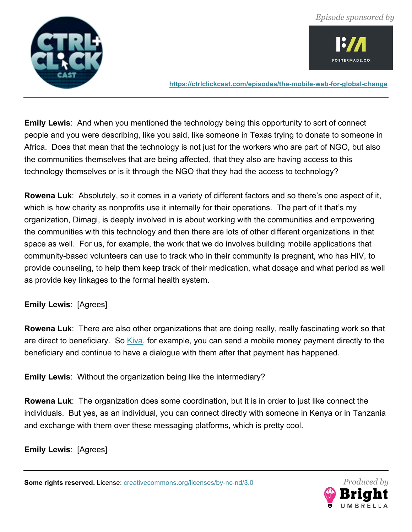

**FOSTERMADE.CO** 

**https://ctrlclickcast.com/episodes/the-mobile-web-for-global-change**

**Emily Lewis**: And when you mentioned the technology being this opportunity to sort of connect people and you were describing, like you said, like someone in Texas trying to donate to someone in Africa. Does that mean that the technology is not just for the workers who are part of NGO, but also the communities themselves that are being affected, that they also are having access to this technology themselves or is it through the NGO that they had the access to technology?

**Rowena Luk**: Absolutely, so it comes in a variety of different factors and so there's one aspect of it, which is how charity as nonprofits use it internally for their operations. The part of it that's my organization, Dimagi, is deeply involved in is about working with the communities and empowering the communities with this technology and then there are lots of other different organizations in that space as well. For us, for example, the work that we do involves building mobile applications that community-based volunteers can use to track who in their community is pregnant, who has HIV, to provide counseling, to help them keep track of their medication, what dosage and what period as well as provide key linkages to the formal health system.

# **Emily Lewis**: [Agrees]

**Rowena Luk**: There are also other organizations that are doing really, really fascinating work so that are direct to beneficiary. So Kiva, for example, you can send a mobile money payment directly to the beneficiary and continue to have a dialogue with them after that payment has happened.

**Emily Lewis**: Without the organization being like the intermediary?

**Rowena Luk**: The organization does some coordination, but it is in order to just like connect the individuals. But yes, as an individual, you can connect directly with someone in Kenya or in Tanzania and exchange with them over these messaging platforms, which is pretty cool.

**Emily Lewis**: [Agrees]

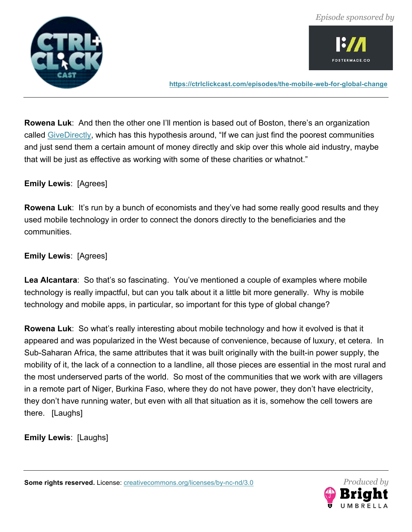



**Rowena Luk**: And then the other one I'll mention is based out of Boston, there's an organization called GiveDirectly, which has this hypothesis around, "If we can just find the poorest communities and just send them a certain amount of money directly and skip over this whole aid industry, maybe that will be just as effective as working with some of these charities or whatnot."

#### **Emily Lewis**: [Agrees]

**Rowena Luk**: It's run by a bunch of economists and they've had some really good results and they used mobile technology in order to connect the donors directly to the beneficiaries and the communities.

# **Emily Lewis**: [Agrees]

**Lea Alcantara**: So that's so fascinating. You've mentioned a couple of examples where mobile technology is really impactful, but can you talk about it a little bit more generally. Why is mobile technology and mobile apps, in particular, so important for this type of global change?

**Rowena Luk**: So what's really interesting about mobile technology and how it evolved is that it appeared and was popularized in the West because of convenience, because of luxury, et cetera. In Sub-Saharan Africa, the same attributes that it was built originally with the built-in power supply, the mobility of it, the lack of a connection to a landline, all those pieces are essential in the most rural and the most underserved parts of the world. So most of the communities that we work with are villagers in a remote part of Niger, Burkina Faso, where they do not have power, they don't have electricity, they don't have running water, but even with all that situation as it is, somehow the cell towers are there. [Laughs]

**Emily Lewis**: [Laughs]

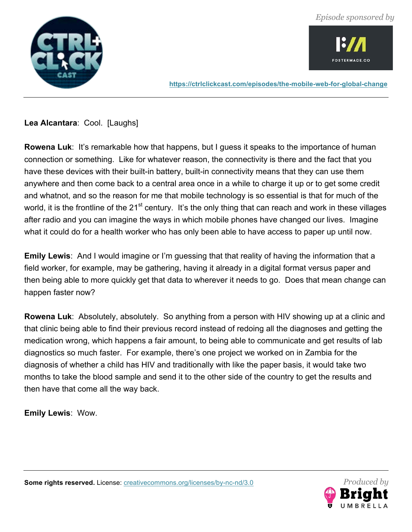



**Lea Alcantara**: Cool. [Laughs]

**Rowena Luk**: It's remarkable how that happens, but I guess it speaks to the importance of human connection or something. Like for whatever reason, the connectivity is there and the fact that you have these devices with their built-in battery, built-in connectivity means that they can use them anywhere and then come back to a central area once in a while to charge it up or to get some credit and whatnot, and so the reason for me that mobile technology is so essential is that for much of the world, it is the frontline of the 21<sup>st</sup> century. It's the only thing that can reach and work in these villages after radio and you can imagine the ways in which mobile phones have changed our lives. Imagine what it could do for a health worker who has only been able to have access to paper up until now.

**Emily Lewis**: And I would imagine or I'm guessing that that reality of having the information that a field worker, for example, may be gathering, having it already in a digital format versus paper and then being able to more quickly get that data to wherever it needs to go. Does that mean change can happen faster now?

**Rowena Luk**: Absolutely, absolutely. So anything from a person with HIV showing up at a clinic and that clinic being able to find their previous record instead of redoing all the diagnoses and getting the medication wrong, which happens a fair amount, to being able to communicate and get results of lab diagnostics so much faster. For example, there's one project we worked on in Zambia for the diagnosis of whether a child has HIV and traditionally with like the paper basis, it would take two months to take the blood sample and send it to the other side of the country to get the results and then have that come all the way back.

**Emily Lewis**: Wow.

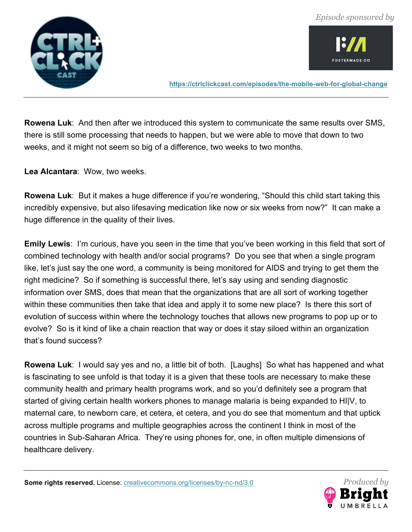



**Rowena Luk**: And then after we introduced this system to communicate the same results over SMS, there is still some processing that needs to happen, but we were able to move that down to two weeks, and it might not seem so big of a difference, two weeks to two months.

**Lea Alcantara**: Wow, two weeks.

**Rowena Luk**: But it makes a huge difference if you're wondering, "Should this child start taking this incredibly expensive, but also lifesaving medication like now or six weeks from now?" It can make a huge difference in the quality of their lives.

**Emily Lewis**: I'm curious, have you seen in the time that you've been working in this field that sort of combined technology with health and/or social programs? Do you see that when a single program like, let's just say the one word, a community is being monitored for AIDS and trying to get them the right medicine? So if something is successful there, let's say using and sending diagnostic information over SMS, does that mean that the organizations that are all sort of working together within these communities then take that idea and apply it to some new place? Is there this sort of evolution of success within where the technology touches that allows new programs to pop up or to evolve? So is it kind of like a chain reaction that way or does it stay siloed within an organization that's found success?

**Rowena Luk**: I would say yes and no, a little bit of both. [Laughs] So what has happened and what is fascinating to see unfold is that today it is a given that these tools are necessary to make these community health and primary health programs work, and so you'd definitely see a program that started of giving certain health workers phones to manage malaria is being expanded to HI|V, to maternal care, to newborn care, et cetera, et cetera, and you do see that momentum and that uptick across multiple programs and multiple geographies across the continent I think in most of the countries in Sub-Saharan Africa. They're using phones for, one, in often multiple dimensions of healthcare delivery.

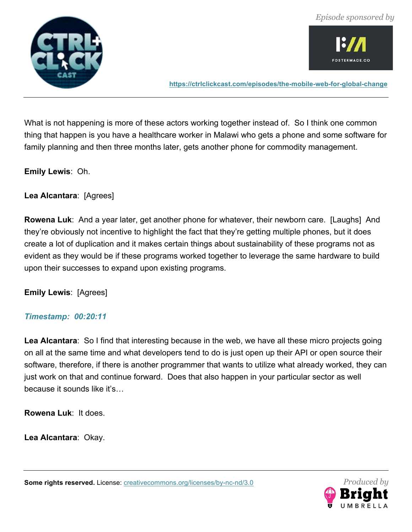



What is not happening is more of these actors working together instead of. So I think one common thing that happen is you have a healthcare worker in Malawi who gets a phone and some software for family planning and then three months later, gets another phone for commodity management.

**Emily Lewis**: Oh.

**Lea Alcantara**: [Agrees]

**Rowena Luk**: And a year later, get another phone for whatever, their newborn care. [Laughs] And they're obviously not incentive to highlight the fact that they're getting multiple phones, but it does create a lot of duplication and it makes certain things about sustainability of these programs not as evident as they would be if these programs worked together to leverage the same hardware to build upon their successes to expand upon existing programs.

**Emily Lewis**: [Agrees]

# *Timestamp: 00:20:11*

**Lea Alcantara**: So I find that interesting because in the web, we have all these micro projects going on all at the same time and what developers tend to do is just open up their API or open source their software, therefore, if there is another programmer that wants to utilize what already worked, they can just work on that and continue forward. Does that also happen in your particular sector as well because it sounds like it's…

**Rowena Luk**: It does.

**Lea Alcantara**: Okay.

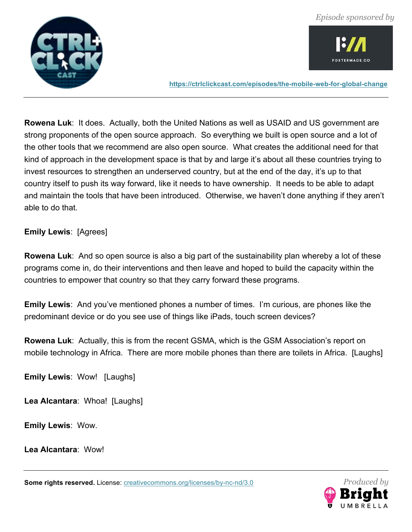

**FOSTERMADE.CO** 

**https://ctrlclickcast.com/episodes/the-mobile-web-for-global-change**

**Rowena Luk**: It does. Actually, both the United Nations as well as USAID and US government are strong proponents of the open source approach. So everything we built is open source and a lot of the other tools that we recommend are also open source. What creates the additional need for that kind of approach in the development space is that by and large it's about all these countries trying to invest resources to strengthen an underserved country, but at the end of the day, it's up to that country itself to push its way forward, like it needs to have ownership. It needs to be able to adapt and maintain the tools that have been introduced. Otherwise, we haven't done anything if they aren't able to do that.

**Emily Lewis**: [Agrees]

**Rowena Luk**: And so open source is also a big part of the sustainability plan whereby a lot of these programs come in, do their interventions and then leave and hoped to build the capacity within the countries to empower that country so that they carry forward these programs.

**Emily Lewis**: And you've mentioned phones a number of times. I'm curious, are phones like the predominant device or do you see use of things like iPads, touch screen devices?

**Rowena Luk**: Actually, this is from the recent GSMA, which is the GSM Association's report on mobile technology in Africa. There are more mobile phones than there are toilets in Africa. [Laughs]

**Emily Lewis**: Wow! [Laughs]

**Lea Alcantara**: Whoa! [Laughs]

**Emily Lewis**: Wow.

**Lea Alcantara**: Wow!

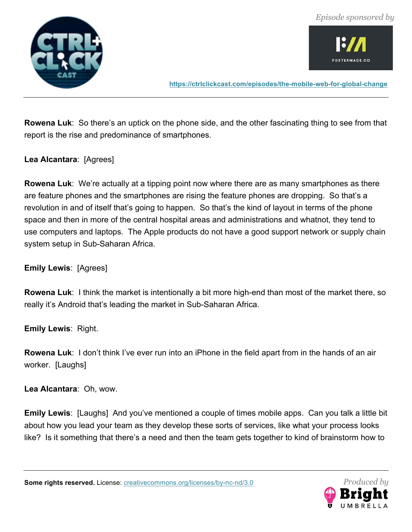



**Rowena Luk**: So there's an uptick on the phone side, and the other fascinating thing to see from that report is the rise and predominance of smartphones.

#### **Lea Alcantara**: [Agrees]

**Rowena Luk**: We're actually at a tipping point now where there are as many smartphones as there are feature phones and the smartphones are rising the feature phones are dropping. So that's a revolution in and of itself that's going to happen. So that's the kind of layout in terms of the phone space and then in more of the central hospital areas and administrations and whatnot, they tend to use computers and laptops. The Apple products do not have a good support network or supply chain system setup in Sub-Saharan Africa.

#### **Emily Lewis**: [Agrees]

**Rowena Luk**: I think the market is intentionally a bit more high-end than most of the market there, so really it's Android that's leading the market in Sub-Saharan Africa.

**Emily Lewis**: Right.

**Rowena Luk**: I don't think I've ever run into an iPhone in the field apart from in the hands of an air worker. [Laughs]

**Lea Alcantara**: Oh, wow.

**Emily Lewis**: [Laughs] And you've mentioned a couple of times mobile apps. Can you talk a little bit about how you lead your team as they develop these sorts of services, like what your process looks like? Is it something that there's a need and then the team gets together to kind of brainstorm how to

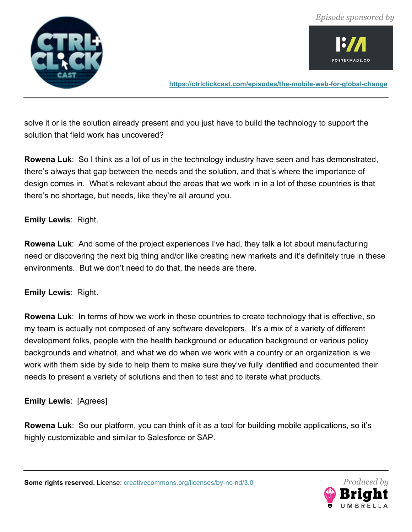

**FOSTERMADE.CO** 

**https://ctrlclickcast.com/episodes/the-mobile-web-for-global-change**

solve it or is the solution already present and you just have to build the technology to support the solution that field work has uncovered?

**Rowena Luk**: So I think as a lot of us in the technology industry have seen and has demonstrated, there's always that gap between the needs and the solution, and that's where the importance of design comes in. What's relevant about the areas that we work in in a lot of these countries is that there's no shortage, but needs, like they're all around you.

#### **Emily Lewis**: Right.

**Rowena Luk**: And some of the project experiences I've had, they talk a lot about manufacturing need or discovering the next big thing and/or like creating new markets and it's definitely true in these environments. But we don't need to do that, the needs are there.

# **Emily Lewis**: Right.

**Rowena Luk**: In terms of how we work in these countries to create technology that is effective, so my team is actually not composed of any software developers. It's a mix of a variety of different development folks, people with the health background or education background or various policy backgrounds and whatnot, and what we do when we work with a country or an organization is we work with them side by side to help them to make sure they've fully identified and documented their needs to present a variety of solutions and then to test and to iterate what products.

# **Emily Lewis**: [Agrees]

**Rowena Luk**: So our platform, you can think of it as a tool for building mobile applications, so it's highly customizable and similar to Salesforce or SAP.

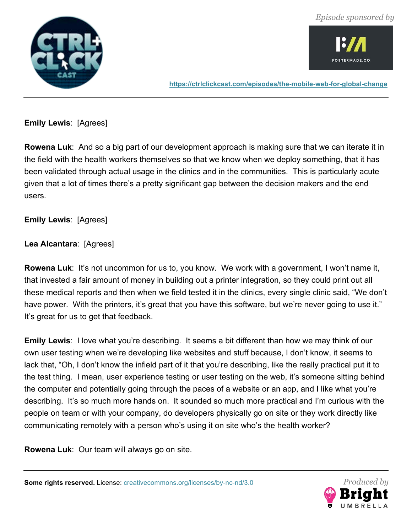



**Emily Lewis**: [Agrees]

**Rowena Luk**: And so a big part of our development approach is making sure that we can iterate it in the field with the health workers themselves so that we know when we deploy something, that it has been validated through actual usage in the clinics and in the communities. This is particularly acute given that a lot of times there's a pretty significant gap between the decision makers and the end users.

**Emily Lewis**: [Agrees]

**Lea Alcantara**: [Agrees]

**Rowena Luk**: It's not uncommon for us to, you know. We work with a government, I won't name it, that invested a fair amount of money in building out a printer integration, so they could print out all these medical reports and then when we field tested it in the clinics, every single clinic said, "We don't have power. With the printers, it's great that you have this software, but we're never going to use it." It's great for us to get that feedback.

**Emily Lewis:** I love what you're describing. It seems a bit different than how we may think of our own user testing when we're developing like websites and stuff because, I don't know, it seems to lack that, "Oh, I don't know the infield part of it that you're describing, like the really practical put it to the test thing. I mean, user experience testing or user testing on the web, it's someone sitting behind the computer and potentially going through the paces of a website or an app, and I like what you're describing. It's so much more hands on. It sounded so much more practical and I'm curious with the people on team or with your company, do developers physically go on site or they work directly like communicating remotely with a person who's using it on site who's the health worker?

**Rowena Luk**: Our team will always go on site.

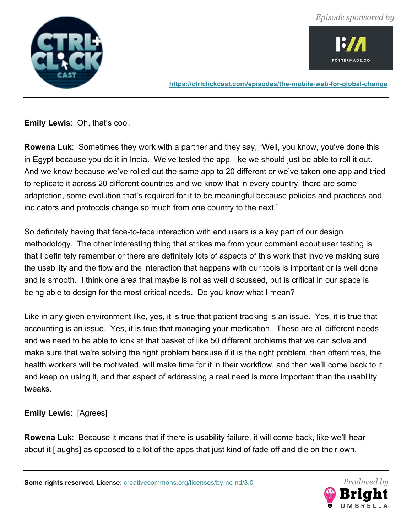



**Emily Lewis**: Oh, that's cool.

**Rowena Luk**: Sometimes they work with a partner and they say, "Well, you know, you've done this in Egypt because you do it in India. We've tested the app, like we should just be able to roll it out. And we know because we've rolled out the same app to 20 different or we've taken one app and tried to replicate it across 20 different countries and we know that in every country, there are some adaptation, some evolution that's required for it to be meaningful because policies and practices and indicators and protocols change so much from one country to the next."

So definitely having that face-to-face interaction with end users is a key part of our design methodology. The other interesting thing that strikes me from your comment about user testing is that I definitely remember or there are definitely lots of aspects of this work that involve making sure the usability and the flow and the interaction that happens with our tools is important or is well done and is smooth. I think one area that maybe is not as well discussed, but is critical in our space is being able to design for the most critical needs. Do you know what I mean?

Like in any given environment like, yes, it is true that patient tracking is an issue. Yes, it is true that accounting is an issue. Yes, it is true that managing your medication. These are all different needs and we need to be able to look at that basket of like 50 different problems that we can solve and make sure that we're solving the right problem because if it is the right problem, then oftentimes, the health workers will be motivated, will make time for it in their workflow, and then we'll come back to it and keep on using it, and that aspect of addressing a real need is more important than the usability tweaks.

**Emily Lewis**: [Agrees]

**Rowena Luk**: Because it means that if there is usability failure, it will come back, like we'll hear about it [laughs] as opposed to a lot of the apps that just kind of fade off and die on their own.

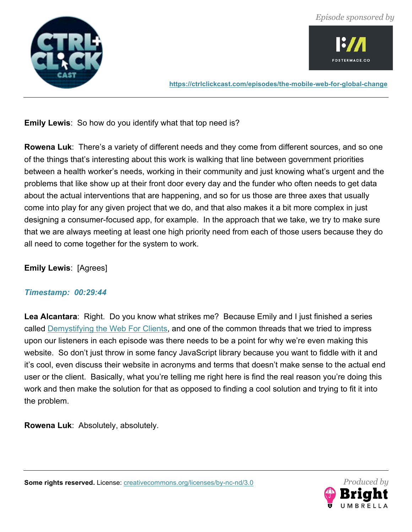



**Emily Lewis**: So how do you identify what that top need is?

**Rowena Luk**: There's a variety of different needs and they come from different sources, and so one of the things that's interesting about this work is walking that line between government priorities between a health worker's needs, working in their community and just knowing what's urgent and the problems that like show up at their front door every day and the funder who often needs to get data about the actual interventions that are happening, and so for us those are three axes that usually come into play for any given project that we do, and that also makes it a bit more complex in just designing a consumer-focused app, for example. In the approach that we take, we try to make sure that we are always meeting at least one high priority need from each of those users because they do all need to come together for the system to work.

# **Emily Lewis**: [Agrees]

# *Timestamp: 00:29:44*

**Lea Alcantara**: Right. Do you know what strikes me? Because Emily and I just finished a series called Demystifying the Web For Clients, and one of the common threads that we tried to impress upon our listeners in each episode was there needs to be a point for why we're even making this website. So don't just throw in some fancy JavaScript library because you want to fiddle with it and it's cool, even discuss their website in acronyms and terms that doesn't make sense to the actual end user or the client. Basically, what you're telling me right here is find the real reason you're doing this work and then make the solution for that as opposed to finding a cool solution and trying to fit it into the problem.

**Rowena Luk**: Absolutely, absolutely.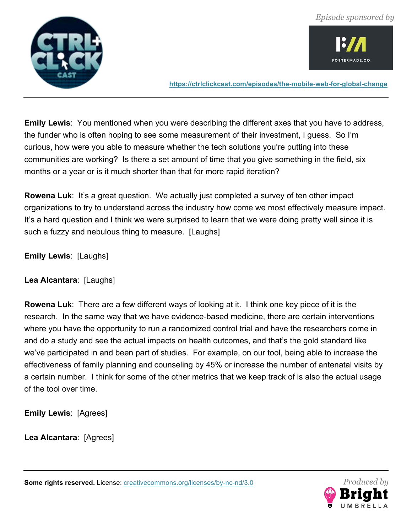



**Emily Lewis**: You mentioned when you were describing the different axes that you have to address, the funder who is often hoping to see some measurement of their investment, I guess. So I'm curious, how were you able to measure whether the tech solutions you're putting into these communities are working? Is there a set amount of time that you give something in the field, six months or a year or is it much shorter than that for more rapid iteration?

**Rowena Luk**: It's a great question. We actually just completed a survey of ten other impact organizations to try to understand across the industry how come we most effectively measure impact. It's a hard question and I think we were surprised to learn that we were doing pretty well since it is such a fuzzy and nebulous thing to measure. [Laughs]

**Emily Lewis**: [Laughs]

**Lea Alcantara**: [Laughs]

**Rowena Luk**: There are a few different ways of looking at it. I think one key piece of it is the research. In the same way that we have evidence-based medicine, there are certain interventions where you have the opportunity to run a randomized control trial and have the researchers come in and do a study and see the actual impacts on health outcomes, and that's the gold standard like we've participated in and been part of studies. For example, on our tool, being able to increase the effectiveness of family planning and counseling by 45% or increase the number of antenatal visits by a certain number. I think for some of the other metrics that we keep track of is also the actual usage of the tool over time.

**Emily Lewis**: [Agrees]

**Lea Alcantara**: [Agrees]

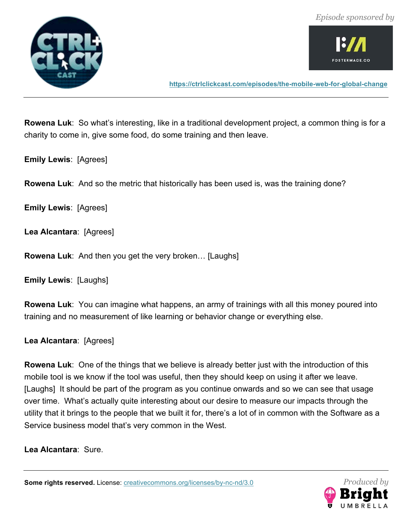



**Rowena Luk**: So what's interesting, like in a traditional development project, a common thing is for a charity to come in, give some food, do some training and then leave.

**Emily Lewis**: [Agrees]

**Rowena Luk**: And so the metric that historically has been used is, was the training done?

**Emily Lewis**: [Agrees]

**Lea Alcantara**: [Agrees]

**Rowena Luk**: And then you get the very broken… [Laughs]

**Emily Lewis**: [Laughs]

**Rowena Luk**: You can imagine what happens, an army of trainings with all this money poured into training and no measurement of like learning or behavior change or everything else.

**Lea Alcantara**: [Agrees]

**Rowena Luk**: One of the things that we believe is already better just with the introduction of this mobile tool is we know if the tool was useful, then they should keep on using it after we leave. [Laughs] It should be part of the program as you continue onwards and so we can see that usage over time. What's actually quite interesting about our desire to measure our impacts through the utility that it brings to the people that we built it for, there's a lot of in common with the Software as a Service business model that's very common in the West.

**Lea Alcantara**: Sure.

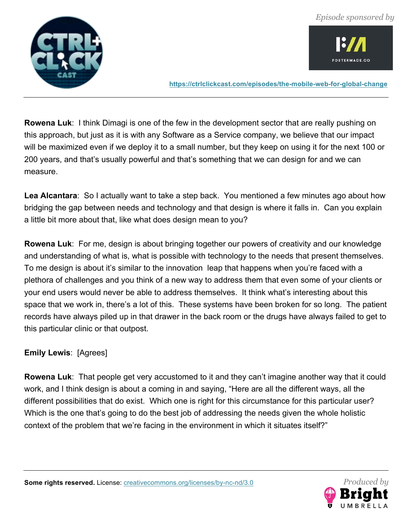

OSTERMADE.CO

**https://ctrlclickcast.com/episodes/the-mobile-web-for-global-change**

**Rowena Luk**: I think Dimagi is one of the few in the development sector that are really pushing on this approach, but just as it is with any Software as a Service company, we believe that our impact will be maximized even if we deploy it to a small number, but they keep on using it for the next 100 or 200 years, and that's usually powerful and that's something that we can design for and we can measure.

**Lea Alcantara**: So I actually want to take a step back. You mentioned a few minutes ago about how bridging the gap between needs and technology and that design is where it falls in. Can you explain a little bit more about that, like what does design mean to you?

**Rowena Luk**: For me, design is about bringing together our powers of creativity and our knowledge and understanding of what is, what is possible with technology to the needs that present themselves. To me design is about it's similar to the innovation leap that happens when you're faced with a plethora of challenges and you think of a new way to address them that even some of your clients or your end users would never be able to address themselves. It think what's interesting about this space that we work in, there's a lot of this. These systems have been broken for so long. The patient records have always piled up in that drawer in the back room or the drugs have always failed to get to this particular clinic or that outpost.

# **Emily Lewis**: [Agrees]

**Rowena Luk**: That people get very accustomed to it and they can't imagine another way that it could work, and I think design is about a coming in and saying, "Here are all the different ways, all the different possibilities that do exist. Which one is right for this circumstance for this particular user? Which is the one that's going to do the best job of addressing the needs given the whole holistic context of the problem that we're facing in the environment in which it situates itself?"

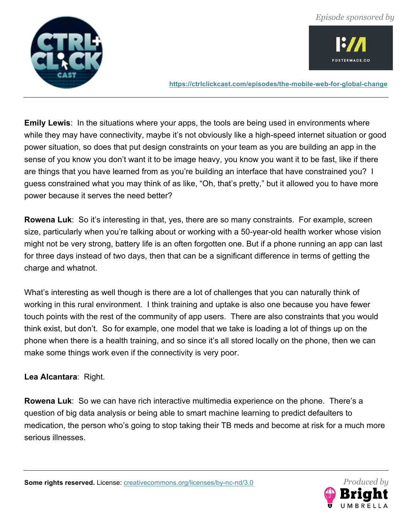

OSTERMADE.CO

**https://ctrlclickcast.com/episodes/the-mobile-web-for-global-change**

**Emily Lewis**: In the situations where your apps, the tools are being used in environments where while they may have connectivity, maybe it's not obviously like a high-speed internet situation or good power situation, so does that put design constraints on your team as you are building an app in the sense of you know you don't want it to be image heavy, you know you want it to be fast, like if there are things that you have learned from as you're building an interface that have constrained you? I guess constrained what you may think of as like, "Oh, that's pretty," but it allowed you to have more power because it serves the need better?

**Rowena Luk**: So it's interesting in that, yes, there are so many constraints. For example, screen size, particularly when you're talking about or working with a 50-year-old health worker whose vision might not be very strong, battery life is an often forgotten one. But if a phone running an app can last for three days instead of two days, then that can be a significant difference in terms of getting the charge and whatnot.

What's interesting as well though is there are a lot of challenges that you can naturally think of working in this rural environment. I think training and uptake is also one because you have fewer touch points with the rest of the community of app users. There are also constraints that you would think exist, but don't. So for example, one model that we take is loading a lot of things up on the phone when there is a health training, and so since it's all stored locally on the phone, then we can make some things work even if the connectivity is very poor.

**Lea Alcantara**: Right.

**Rowena Luk**: So we can have rich interactive multimedia experience on the phone. There's a question of big data analysis or being able to smart machine learning to predict defaulters to medication, the person who's going to stop taking their TB meds and become at risk for a much more serious illnesses.

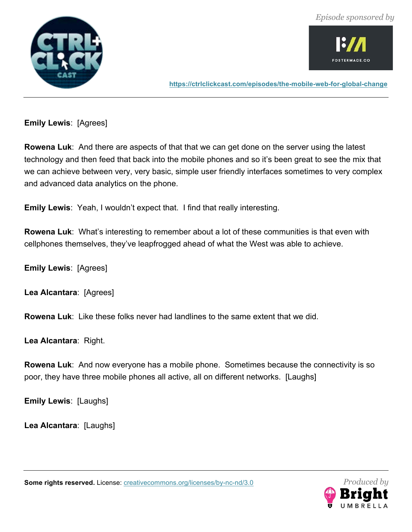



**Emily Lewis**: [Agrees]

**Rowena Luk**: And there are aspects of that that we can get done on the server using the latest technology and then feed that back into the mobile phones and so it's been great to see the mix that we can achieve between very, very basic, simple user friendly interfaces sometimes to very complex and advanced data analytics on the phone.

**Emily Lewis**: Yeah, I wouldn't expect that. I find that really interesting.

**Rowena Luk**: What's interesting to remember about a lot of these communities is that even with cellphones themselves, they've leapfrogged ahead of what the West was able to achieve.

**Emily Lewis**: [Agrees]

**Lea Alcantara**: [Agrees]

**Rowena Luk**: Like these folks never had landlines to the same extent that we did.

**Lea Alcantara**: Right.

**Rowena Luk**: And now everyone has a mobile phone. Sometimes because the connectivity is so poor, they have three mobile phones all active, all on different networks. [Laughs]

**Emily Lewis**: [Laughs]

**Lea Alcantara**: [Laughs]

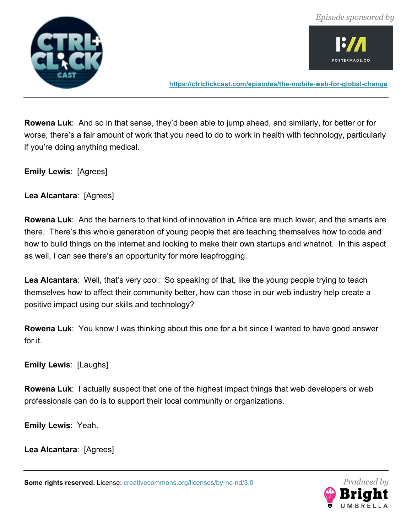

**FOSTERMADE.CO** 

**https://ctrlclickcast.com/episodes/the-mobile-web-for-global-change**

**Rowena Luk**: And so in that sense, they'd been able to jump ahead, and similarly, for better or for worse, there's a fair amount of work that you need to do to work in health with technology, particularly if you're doing anything medical.

**Emily Lewis**: [Agrees]

**Lea Alcantara**: [Agrees]

**Rowena Luk**: And the barriers to that kind of innovation in Africa are much lower, and the smarts are there. There's this whole generation of young people that are teaching themselves how to code and how to build things on the internet and looking to make their own startups and whatnot. In this aspect as well, I can see there's an opportunity for more leapfrogging.

Lea Alcantara: Well, that's very cool. So speaking of that, like the young people trying to teach themselves how to affect their community better, how can those in our web industry help create a positive impact using our skills and technology?

**Rowena Luk**: You know I was thinking about this one for a bit since I wanted to have good answer for it.

**Emily Lewis**: [Laughs]

**Rowena Luk**: I actually suspect that one of the highest impact things that web developers or web professionals can do is to support their local community or organizations.

**Emily Lewis**: Yeah.

**Lea Alcantara**: [Agrees]

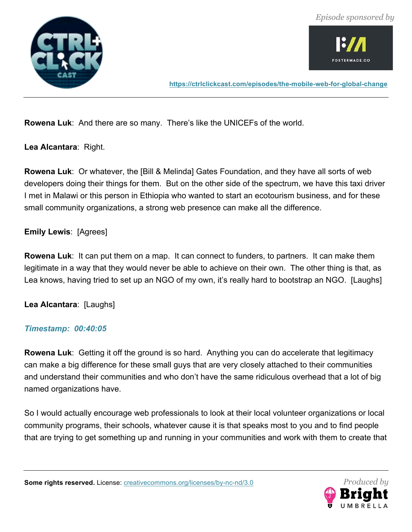



**Rowena Luk**: And there are so many. There's like the UNICEFs of the world.

**Lea Alcantara**: Right.

**Rowena Luk**: Or whatever, the [Bill & Melinda] Gates Foundation, and they have all sorts of web developers doing their things for them. But on the other side of the spectrum, we have this taxi driver I met in Malawi or this person in Ethiopia who wanted to start an ecotourism business, and for these small community organizations, a strong web presence can make all the difference.

# **Emily Lewis**: [Agrees]

**Rowena Luk**: It can put them on a map. It can connect to funders, to partners. It can make them legitimate in a way that they would never be able to achieve on their own. The other thing is that, as Lea knows, having tried to set up an NGO of my own, it's really hard to bootstrap an NGO. [Laughs]

**Lea Alcantara**: [Laughs]

# *Timestamp: 00:40:05*

**Rowena Luk**: Getting it off the ground is so hard. Anything you can do accelerate that legitimacy can make a big difference for these small guys that are very closely attached to their communities and understand their communities and who don't have the same ridiculous overhead that a lot of big named organizations have.

So I would actually encourage web professionals to look at their local volunteer organizations or local community programs, their schools, whatever cause it is that speaks most to you and to find people that are trying to get something up and running in your communities and work with them to create that

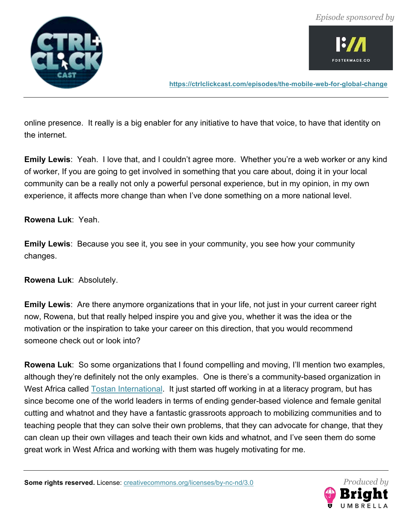

**FOSTERMADE.CO** 

**https://ctrlclickcast.com/episodes/the-mobile-web-for-global-change**

online presence. It really is a big enabler for any initiative to have that voice, to have that identity on the internet.

**Emily Lewis**: Yeah. I love that, and I couldn't agree more. Whether you're a web worker or any kind of worker, If you are going to get involved in something that you care about, doing it in your local community can be a really not only a powerful personal experience, but in my opinion, in my own experience, it affects more change than when I've done something on a more national level.

#### **Rowena Luk**: Yeah.

**Emily Lewis**: Because you see it, you see in your community, you see how your community changes.

**Rowena Luk**: Absolutely.

**Emily Lewis**: Are there anymore organizations that in your life, not just in your current career right now, Rowena, but that really helped inspire you and give you, whether it was the idea or the motivation or the inspiration to take your career on this direction, that you would recommend someone check out or look into?

**Rowena Luk**: So some organizations that I found compelling and moving, I'll mention two examples, although they're definitely not the only examples. One is there's a community-based organization in West Africa called **Tostan International**. It just started off working in at a literacy program, but has since become one of the world leaders in terms of ending gender-based violence and female genital cutting and whatnot and they have a fantastic grassroots approach to mobilizing communities and to teaching people that they can solve their own problems, that they can advocate for change, that they can clean up their own villages and teach their own kids and whatnot, and I've seen them do some great work in West Africa and working with them was hugely motivating for me.

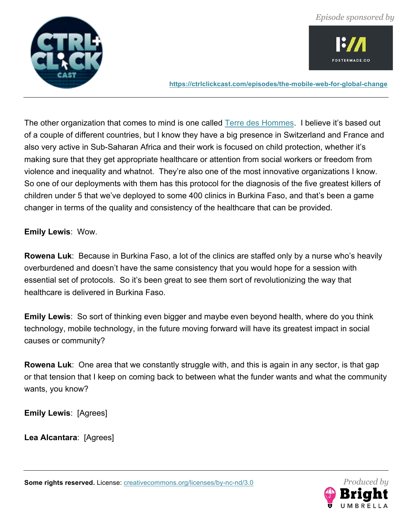



The other organization that comes to mind is one called Terre des Hommes. I believe it's based out of a couple of different countries, but I know they have a big presence in Switzerland and France and also very active in Sub-Saharan Africa and their work is focused on child protection, whether it's making sure that they get appropriate healthcare or attention from social workers or freedom from violence and inequality and whatnot. They're also one of the most innovative organizations I know. So one of our deployments with them has this protocol for the diagnosis of the five greatest killers of children under 5 that we've deployed to some 400 clinics in Burkina Faso, and that's been a game changer in terms of the quality and consistency of the healthcare that can be provided.

#### **Emily Lewis**: Wow.

**Rowena Luk**: Because in Burkina Faso, a lot of the clinics are staffed only by a nurse who's heavily overburdened and doesn't have the same consistency that you would hope for a session with essential set of protocols. So it's been great to see them sort of revolutionizing the way that healthcare is delivered in Burkina Faso.

**Emily Lewis**: So sort of thinking even bigger and maybe even beyond health, where do you think technology, mobile technology, in the future moving forward will have its greatest impact in social causes or community?

**Rowena Luk**: One area that we constantly struggle with, and this is again in any sector, is that gap or that tension that I keep on coming back to between what the funder wants and what the community wants, you know?

**Emily Lewis**: [Agrees]

**Lea Alcantara**: [Agrees]

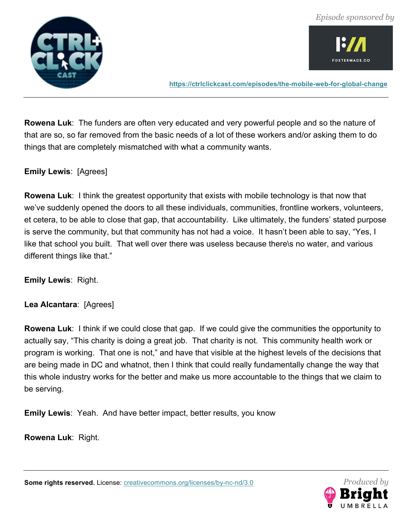

**FOSTERMADE.CO** 

**https://ctrlclickcast.com/episodes/the-mobile-web-for-global-change**

**Rowena Luk**: The funders are often very educated and very powerful people and so the nature of that are so, so far removed from the basic needs of a lot of these workers and/or asking them to do things that are completely mismatched with what a community wants.

**Emily Lewis**: [Agrees]

**Rowena Luk**: I think the greatest opportunity that exists with mobile technology is that now that we've suddenly opened the doors to all these individuals, communities, frontline workers, volunteers, et cetera, to be able to close that gap, that accountability. Like ultimately, the funders' stated purpose is serve the community, but that community has not had a voice. It hasn't been able to say, "Yes, I like that school you built. That well over there was useless because there\s no water, and various different things like that."

**Emily Lewis**: Right.

**Lea Alcantara**: [Agrees]

**Rowena Luk**: I think if we could close that gap. If we could give the communities the opportunity to actually say, "This charity is doing a great job. That charity is not. This community health work or program is working. That one is not," and have that visible at the highest levels of the decisions that are being made in DC and whatnot, then I think that could really fundamentally change the way that this whole industry works for the better and make us more accountable to the things that we claim to be serving.

**Emily Lewis**: Yeah. And have better impact, better results, you know

**Rowena Luk**: Right.

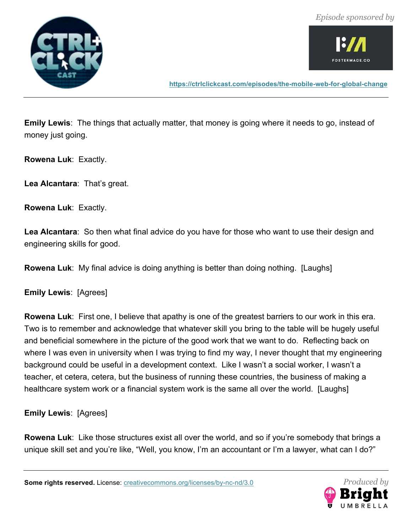



**Emily Lewis**: The things that actually matter, that money is going where it needs to go, instead of money just going.

**Rowena Luk**: Exactly.

**Lea Alcantara**: That's great.

**Rowena Luk**: Exactly.

**Lea Alcantara**: So then what final advice do you have for those who want to use their design and engineering skills for good.

**Rowena Luk**: My final advice is doing anything is better than doing nothing. [Laughs]

**Emily Lewis**: [Agrees]

**Rowena Luk**: First one, I believe that apathy is one of the greatest barriers to our work in this era. Two is to remember and acknowledge that whatever skill you bring to the table will be hugely useful and beneficial somewhere in the picture of the good work that we want to do. Reflecting back on where I was even in university when I was trying to find my way, I never thought that my engineering background could be useful in a development context. Like I wasn't a social worker, I wasn't a teacher, et cetera, cetera, but the business of running these countries, the business of making a healthcare system work or a financial system work is the same all over the world. [Laughs]

**Emily Lewis**: [Agrees]

**Rowena Luk**: Like those structures exist all over the world, and so if you're somebody that brings a unique skill set and you're like, "Well, you know, I'm an accountant or I'm a lawyer, what can I do?"

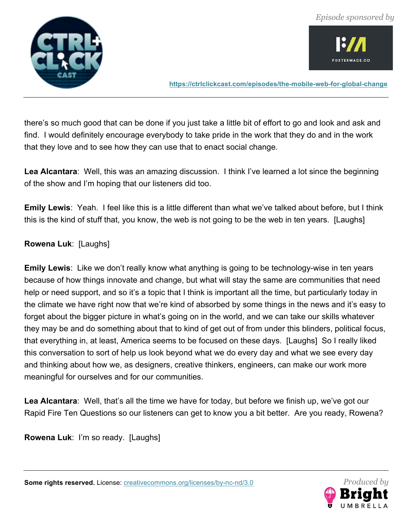

OSTERMADE.CO

**https://ctrlclickcast.com/episodes/the-mobile-web-for-global-change**

there's so much good that can be done if you just take a little bit of effort to go and look and ask and find. I would definitely encourage everybody to take pride in the work that they do and in the work that they love and to see how they can use that to enact social change.

**Lea Alcantara**: Well, this was an amazing discussion. I think I've learned a lot since the beginning of the show and I'm hoping that our listeners did too.

**Emily Lewis**: Yeah. I feel like this is a little different than what we've talked about before, but I think this is the kind of stuff that, you know, the web is not going to be the web in ten years. [Laughs]

# **Rowena Luk**: [Laughs]

**Emily Lewis**: Like we don't really know what anything is going to be technology-wise in ten years because of how things innovate and change, but what will stay the same are communities that need help or need support, and so it's a topic that I think is important all the time, but particularly today in the climate we have right now that we're kind of absorbed by some things in the news and it's easy to forget about the bigger picture in what's going on in the world, and we can take our skills whatever they may be and do something about that to kind of get out of from under this blinders, political focus, that everything in, at least, America seems to be focused on these days. [Laughs] So I really liked this conversation to sort of help us look beyond what we do every day and what we see every day and thinking about how we, as designers, creative thinkers, engineers, can make our work more meaningful for ourselves and for our communities.

**Lea Alcantara**: Well, that's all the time we have for today, but before we finish up, we've got our Rapid Fire Ten Questions so our listeners can get to know you a bit better. Are you ready, Rowena?

**Rowena Luk**: I'm so ready. [Laughs]

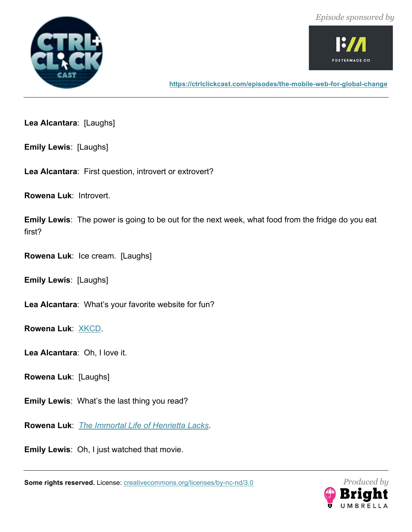



**Lea Alcantara**: [Laughs]

**Emily Lewis**: [Laughs]

**Lea Alcantara**: First question, introvert or extrovert?

**Rowena Luk**: Introvert.

**Emily Lewis**: The power is going to be out for the next week, what food from the fridge do you eat first?

**Rowena Luk**: Ice cream. [Laughs]

**Emily Lewis**: [Laughs]

**Lea Alcantara**: What's your favorite website for fun?

**Rowena Luk**: XKCD.

**Lea Alcantara**: Oh, I love it.

**Rowena Luk**: [Laughs]

**Emily Lewis**: What's the last thing you read?

**Rowena Luk**: *The Immortal Life of Henrietta Lacks*.

**Emily Lewis**: Oh, I just watched that movie.

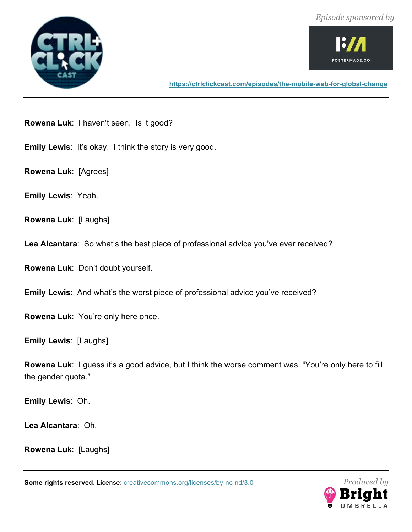



**Rowena Luk**: I haven't seen. Is it good?

**Emily Lewis: It's okay. I think the story is very good.** 

**Rowena Luk**: [Agrees]

**Emily Lewis**: Yeah.

**Rowena Luk**: [Laughs]

**Lea Alcantara**: So what's the best piece of professional advice you've ever received?

**Rowena Luk**: Don't doubt yourself.

**Emily Lewis**: And what's the worst piece of professional advice you've received?

**Rowena Luk**: You're only here once.

**Emily Lewis**: [Laughs]

**Rowena Luk**: I guess it's a good advice, but I think the worse comment was, "You're only here to fill the gender quota."

**Emily Lewis**: Oh.

**Lea Alcantara**: Oh.

**Rowena Luk**: [Laughs]

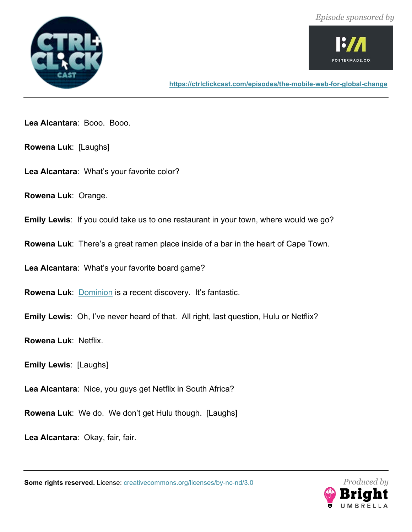



**Lea Alcantara**: Booo. Booo.

- **Rowena Luk**: [Laughs]
- **Lea Alcantara**: What's your favorite color?
- **Rowena Luk**: Orange.
- **Emily Lewis**: If you could take us to one restaurant in your town, where would we go?
- **Rowena Luk**: There's a great ramen place inside of a bar in the heart of Cape Town.
- **Lea Alcantara**: What's your favorite board game?
- **Rowena Luk**: Dominion is a recent discovery. It's fantastic.
- **Emily Lewis**: Oh, I've never heard of that. All right, last question, Hulu or Netflix?
- **Rowena Luk**: Netflix.
- **Emily Lewis**: [Laughs]
- **Lea Alcantara**: Nice, you guys get Netflix in South Africa?
- **Rowena Luk**: We do. We don't get Hulu though. [Laughs]
- **Lea Alcantara**: Okay, fair, fair.

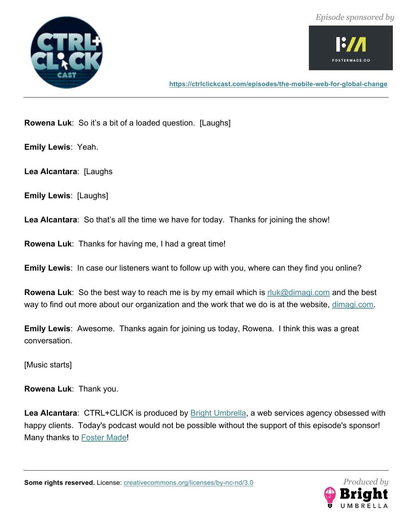



**Rowena Luk**: So it's a bit of a loaded question. [Laughs]

**Emily Lewis**: Yeah.

**Lea Alcantara**: [Laughs

**Emily Lewis**: [Laughs]

**Lea Alcantara**: So that's all the time we have for today. Thanks for joining the show!

**Rowena Luk**: Thanks for having me, I had a great time!

**Emily Lewis**: In case our listeners want to follow up with you, where can they find you online?

**Rowena Luk**: So the best way to reach me is by my email which is rluk@dimagi.com and the best way to find out more about our organization and the work that we do is at the website, dimagi.com.

**Emily Lewis**: Awesome. Thanks again for joining us today, Rowena. I think this was a great conversation.

[Music starts]

**Rowena Luk**: Thank you.

**Lea Alcantara**: CTRL+CLICK is produced by Bright Umbrella, a web services agency obsessed with happy clients. Today's podcast would not be possible without the support of this episode's sponsor! Many thanks to Foster Made!